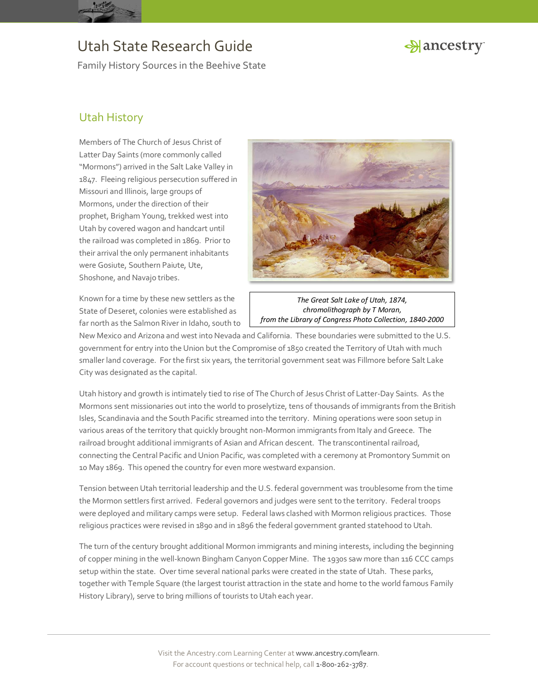

Family History Sources in the Beehive State



### Utah History

Members of The Church of Jesus Christ of Latter Day Saints (more commonly called "Mormons") arrived in the Salt Lake Valley in 1847. Fleeing religious persecution suffered in Missouri and Illinois, large groups of Mormons, under the direction of their prophet, Brigham Young, trekked west into Utah by covered wagon and handcart until the railroad was completed in 1869. Prior to their arrival the only permanent inhabitants were Gosiute, Southern Paiute, Ute, Shoshone, and Navajo tribes.

Known for a time by these new settlers as the State of Deseret, colonies were established as far north as the Salmon River in Idaho, south to



*The Great Salt Lake of Utah, 1874, chromolithograph by T Moran, from the Library of Congress Photo Collection, 1840-2000*

New Mexico and Arizona and west into Nevada and California. These boundaries were submitted to the U.S. government for entry into the Union but the Compromise of 1850 created the Territory of Utah with much smaller land coverage. For the first six years, the territorial government seat was Fillmore before Salt Lake City was designated as the capital.

Utah history and growth is intimately tied to rise of The Church of Jesus Christ of Latter-Day Saints. As the Mormons sent missionaries out into the world to proselytize, tens of thousands of immigrants from the British Isles, Scandinavia and the South Pacific streamed into the territory. Mining operations were soon setup in various areas of the territory that quickly brought non-Mormon immigrants from Italy and Greece. The railroad brought additional immigrants of Asian and African descent. The transcontinental railroad, connecting the Central Pacific and Union Pacific, was completed with a ceremony at Promontory Summit on 10 May 1869. This opened the country for even more westward expansion.

Tension between Utah territorial leadership and the U.S. federal government was troublesome from the time the Mormon settlers first arrived. Federal governors and judges were sent to the territory. Federal troops were deployed and military camps were setup. Federal laws clashed with Mormon religious practices. Those religious practices were revised in 1890 and in 1896 the federal government granted statehood to Utah.

The turn of the century brought additional Mormon immigrants and mining interests, including the beginning of copper mining in the well-known Bingham Canyon Copper Mine. The 1930s saw more than 116 CCC camps setup within the state. Over time several national parks were created in the state of Utah. These parks, together with Temple Square (the largest tourist attraction in the state and home to the world famous Family History Library), serve to bring millions of tourists to Utah each year.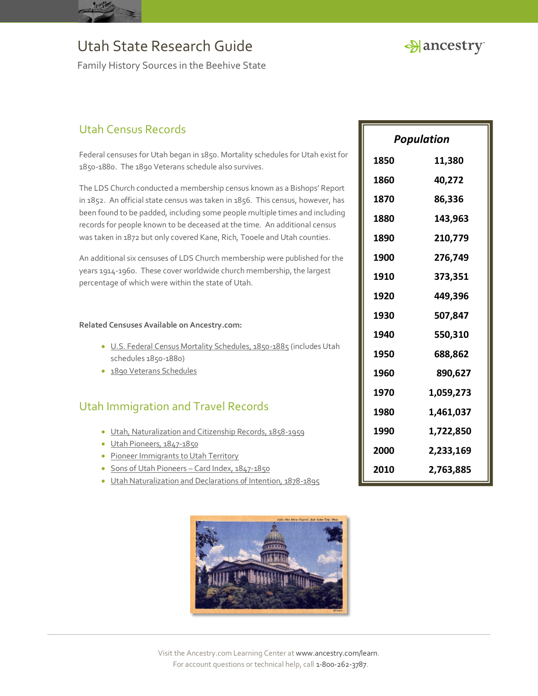

Family History Sources in the Beehive State

## Utah Census Records

Federal censuses for Utah began in 1850. Mortality schedules for Utah exist for 1850-1880. The 1890 Veterans schedule also survives.

The LDS Church conducted a membership census known as a Bishops' Report in 1852. An official state census was taken in 1856. This census, however, has been found to be padded, including some people multiple times and including records for people known to be deceased at the time. An additional census was taken in 1872 but only covered Kane, Rich, Tooele and Utah counties.

An additional six censuses of LDS Church membership were published for the years 1914-1960. These cover worldwide church membership, the largest percentage of which were within the state of Utah.

#### **Related Censuses Available on Ancestry.com:**

- [U.S. Federal Census Mortality Schedules, 1850-1885](http://search.ancestry.com/search/db.aspx?dbid=8756) (includes Utah schedules 1850-1880)
- [1890 Veterans Schedules](http://search.ancestry.com/search/db.aspx?dbid=8667)

### Utah Immigration and Travel Records

- [Utah, Naturalization and Citizenship Records, 1858-1959](http://search.ancestry.com/search/db.aspx?dbid=2235)
- [Utah Pioneers, 1847-1850](http://search.ancestry.com/search/db.aspx?dbid=5477)
- [Pioneer Immigrants to Utah Territory](http://search.ancestry.com/search/db.aspx?dbid=5423)
- [Sons of Utah Pioneers](http://search.ancestry.com/search/db.aspx?dbid=6465)  Card Index, 1847-1850
- [Utah Naturalization and Declarations of Intention, 1878-1895](http://search.ancestry.com/search/db.aspx?dbid=6987)



| <b>Population</b> |           |
|-------------------|-----------|
| 1850              | 11,380    |
| 1860              | 40,272    |
| 1870              | 86,336    |
| 1880              | 143,963   |
| 1890              | 210,779   |
| 1900              | 276,749   |
| 1910              | 373,351   |
| 1920              | 449,396   |
| 1930              | 507,847   |
| 1940              | 550,310   |
| 1950              | 688,862   |
| 1960              | 890,627   |
| 1970              | 1,059,273 |
| 1980              | 1,461,037 |
| 1990              | 1,722,850 |
| 2000              | 2,233,169 |
| 2010              | 2,763,885 |

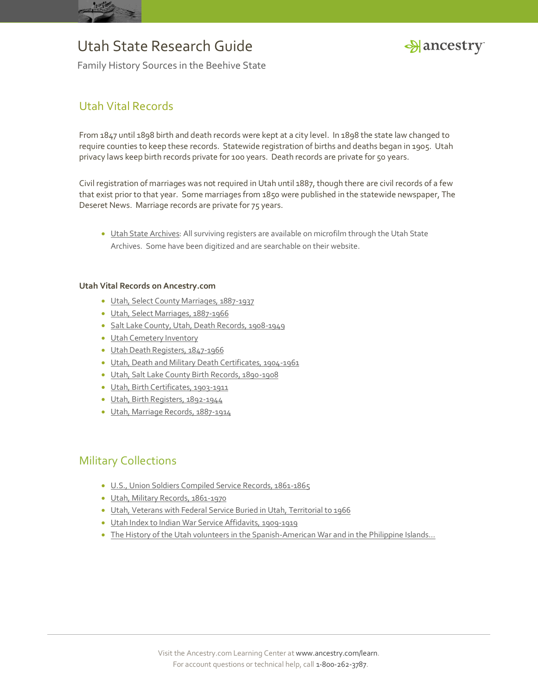



Family History Sources in the Beehive State

### Utah Vital Records

From 1847 until 1898 birth and death records were kept at a city level. In 1898 the state law changed to require counties to keep these records. Statewide registration of births and deaths began in 1905. Utah privacy laws keep birth records private for 100 years. Death records are private for 50 years.

Civil registration of marriages was not required in Utah until 1887, though there are civil records of a few that exist prior to that year. Some marriages from 1850 were published in the statewide newspaper, The Deseret News. Marriage records are private for 75 years.

 [Utah State Archives:](http://www.archives.state.ut.us/) All surviving registers are available on microfilm through the Utah State Archives. Some have been digitized and are searchable on their website.

#### **Utah Vital Records on Ancestry.com**

- [Utah, Select County Marriages, 1887-1937](http://search.ancestry.com/search/db.aspx?dbid=60198)
- [Utah, Select Marriages, 1887-1966](http://search.ancestry.com/search/db.aspx?dbid=60201)
- [Salt Lake County, Utah, Death Records, 1908-1949](http://search.ancestry.com/search/db.aspx?dbid=60203)
- [Utah Cemetery Inventory](http://search.ancestry.com/search/db.aspx?dbid=5232)
- [Utah Death Registers, 1847-1966](http://search.ancestry.com/search/db.aspx?dbid=6967)
- [Utah, Death and Military Death Certificates, 1904-1961](http://search.ancestry.com/search/db.aspx?dbid=9174)
- [Utah, Salt Lake County Birth Records, 1890-1908](http://search.ancestry.com/search/db.aspx?dbid=60202)
- [Utah, Birth Certificates, 1903-1911](http://search.ancestry.com/search/db.aspx?dbid=9172)
- [Utah, Birth Registers, 1892-1944](http://search.ancestry.com/search/db.aspx?dbid=1908)
- [Utah, Marriage Records, 1887-1914](http://search.ancestry.com/search/db.aspx?dbid=1971)

## Military Collections

- [U.S., Union Soldiers Compiled Service Records, 1861-1865](http://search.ancestry.com/search/db.aspx?dbid=2344)
- [Utah, Military Records, 1861-1970](http://search.ancestry.com/search/db.aspx?dbid=2228)
- [Utah, Veterans with Federal Service Buried in Utah, Territorial to 1966](http://search.ancestry.com/search/db.aspx?dbid=60210)
- [Utah Index to Indian War Service Affidavits, 1909-1919](http://search.ancestry.com/search/db.aspx?dbid=6887)
- [The History of the Utah volunteers in the Spanish-](http://search.ancestry.com/search/db.aspx?dbid=26174)American War and in the Philippine Islands...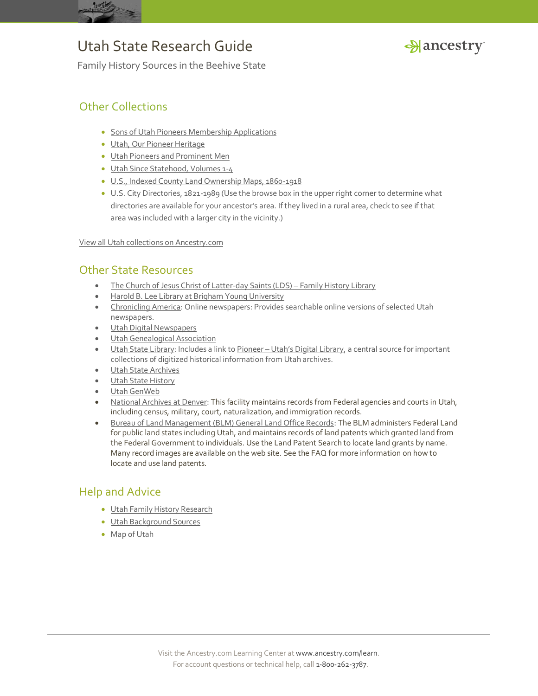



Family History Sources in the Beehive State

## Other Collections

- **[Sons of Utah Pioneers Membership Applications](http://search.ancestry.com/search/db.aspx?dbid=5454)**
- [Utah, Our Pioneer Heritage](http://search.ancestry.com/search/db.aspx?dbid=3239)
- [Utah Pioneers and Prominent Men](http://search.ancestry.com/search/db.aspx?dbid=2031)
- [Utah Since Statehood, Volumes 1-4](http://search.ancestry.com/search/db.aspx?dbid=5138)
- [U.S., Indexed County Land Ownership Maps, 1860-1918](http://search.ancestry.com/search/db.aspx?dbid=1127)
- [U.S. City Directories, 1821-1989](http://search.ancestry.com/search/db.aspx?dbid=2469) (Use the browse box in the upper right corner to determine what directories are available for your ancestor's area. If they lived in a rural area, check to see if that area was included with a larger city in the vicinity.)

[View all Utah collections on Ancestry.com](http://search.ancestry.com/Places/US/Utah/Default.aspx)

### Other State Resources

- [The Church of Jesus Christ of Latter-day Saints \(LDS\)](https://familysearch.org/)  Family History Library
- [Harold B. Lee Library at Brigham Young University](http://www.lib.byu.edu/)
- [Chronicling America:](http://chroniclingamerica.loc.gov/) Online newspapers: Provides searchable online versions of selected Utah newspapers.
- [Utah Digital Newspapers](http://digitalnewspapers.org/)
- [Utah Genealogical Association](http://www.infouga.org/)
- [Utah State Library:](http://library.utah.gov/) Includes a link to Pioneer [Utah's Digital Library](http://pioneer.utah.gov/digital/utah.html), a central source for important collections of digitized historical information from Utah archives.
- [Utah State Archives](http://www.archives.state.ut.us/)
- [Utah State History](http://www.history.utah.gov/)
- [Utah GenWeb](http://www.rootsweb.ancestry.com/~utgenweb/)
- [National Archives at Denver:](http://www.archives.gov/denver/) This facility maintains records from Federal agencies and courts in Utah, including census, military, court, naturalization, and immigration records.
- [Bureau of Land Management \(BLM\) General Land Office Records:](http://www.glorecords.blm.gov/) The BLM administers Federal Land for public land states including Utah, and maintains records of land patents which granted land from the Federal Government to individuals. Use the Land Patent Search to locate land grants by name. Many record images are available on the web site. See the FAQ for more information on how to locate and use land patents.

## Help and Advice

- [Utah Family History Research](http://www.ancestry.com/wiki/index.php?title=Utah_Family_History_Research)
- [Utah Background Sources](http://www.ancestry.com/wiki/index.php?title=Background_Sources_for_Utah)
- [Map of Utah](http://www.ancestry.com/wiki/index.php?title=Map_of_Utah)